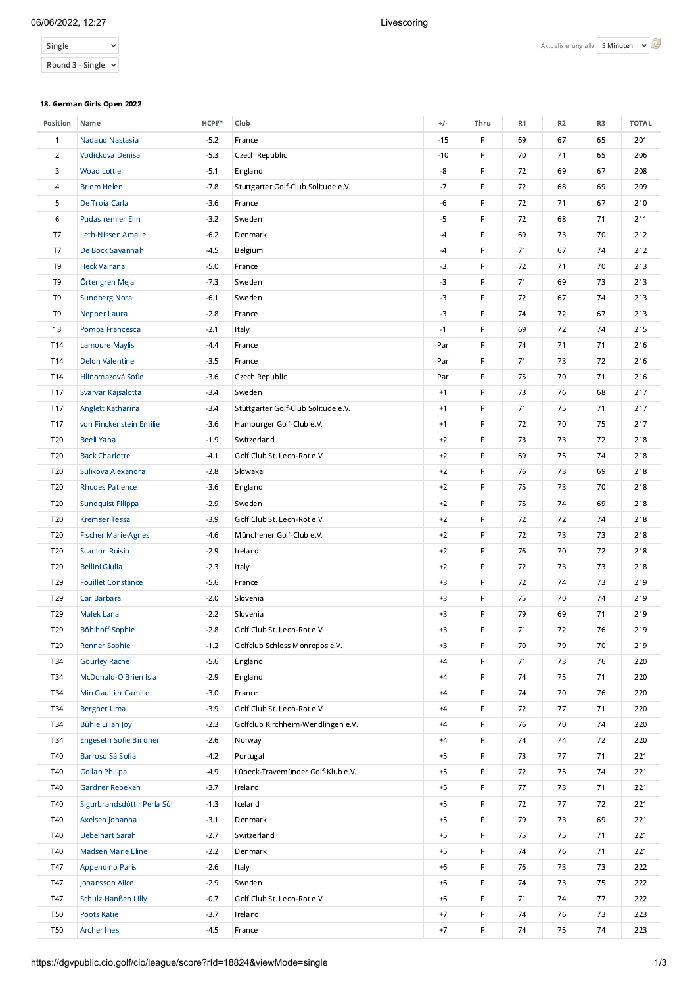# 06/06/2022, 12:27 Livescoring

| Single                  |  |
|-------------------------|--|
| Round 3 - Single $\vee$ |  |

## 18. German Girls Open 2022

| Position        | Name                        | HCPI™  | Club                                | $+/-$ | Thru | R1 | R <sub>2</sub> | R3 | <b>TOTAL</b> |
|-----------------|-----------------------------|--------|-------------------------------------|-------|------|----|----------------|----|--------------|
| $\mathbf{1}$    | <b>Nadaud Nastasia</b>      | $-5.2$ | France                              | $-15$ | F    | 69 | 67             | 65 | 201          |
| $\overline{2}$  | Vodickova Denisa            | $-5.3$ | Czech Republic                      | $-10$ | F    | 70 | 71             | 65 | 206          |
| 3               | <b>Woad Lottie</b>          | $-5.1$ | England                             | -8    | F    | 72 | 69             | 67 | 208          |
| 4               | <b>Briem Helen</b>          | $-7.8$ | Stuttgarter Golf-Club Solitude e.V. | $-7$  | F    | 72 | 68             | 69 | 209          |
| 5               | De Troia Carla              | $-3.6$ | France                              | $-6$  | F    | 72 | 71             | 67 | 210          |
| 6               | Pudas remler Elin           | $-3.2$ | Sweden                              | $-5$  | F    | 72 | 68             | 71 | 211          |
| T7              | Leth-Nissen Amalie          | $-6.2$ | Denmark                             | $-4$  | F    | 69 | 73             | 70 | 212          |
| T7              | De Bock Savannah            | $-4.5$ | Belgium                             | $-4$  | F    | 71 | 67             | 74 | 212          |
| T9              | <b>Heck Vairana</b>         | $-5.0$ | France                              | $-3$  | F    | 72 | 71             | 70 | 213          |
| T <sub>9</sub>  | Örtengren Meja              | $-7.3$ | Sweden                              | $-3$  | F    | 71 | 69             | 73 | 213          |
| T <sub>9</sub>  | <b>Sundberg Nora</b>        | $-6.1$ | Sweden                              | $-3$  | F    | 72 | 67             | 74 | 213          |
| T9              | Nepper Laura                | $-2.8$ | France                              | $-3$  | F    | 74 | 72             | 67 | 213          |
| 13              | Pompa Francesca             | $-2.1$ | Italy                               | $-1$  | F    | 69 | 72             | 74 | 215          |
| T14             | <b>Lamoure Maylis</b>       | $-4.4$ | France                              | Par   | F    | 74 | 71             | 71 | 216          |
| T14             | <b>Delon Valentine</b>      | $-3.5$ | France                              | Par   | F    | 71 | 73             | 72 | 216          |
| T14             | Hlinomazová Sofie           | $-3.6$ | Czech Republic                      | Par   | F    | 75 | 70             | 71 | 216          |
| T17             | Svarvar Kajsalotta          | $-3.4$ | Sweden                              | $+1$  | F    | 73 | 76             | 68 | 217          |
| T17             | Anglett Katharina           | $-3.4$ | Stuttgarter Golf-Club Solitude e.V. | $+1$  | F    | 71 | 75             | 71 | 217          |
| T17             | von Finckenstein Emilie     | $-3.6$ | Hamburger Golf-Club e.V.            | $+1$  | F    | 72 | 70             | 75 | 217          |
| T20             | <b>Beeli Yana</b>           | $-1.9$ | Switzerland                         | $+2$  | F    | 73 | 73             | 72 | 218          |
| T20             | <b>Back Charlotte</b>       | $-4.1$ | Golf Club St. Leon-Rot e.V.         | $+2$  | F    | 69 | 75             | 74 | 218          |
| T20             | Sulikova Alexandra          | $-2.8$ | Slowakai                            | $+2$  | F    | 76 | 73             | 69 | 218          |
| T20             | <b>Rhodes Patience</b>      | $-3.6$ | England                             | $+2$  | F    | 75 | 73             | 70 | 218          |
| T20             | <b>Sundquist Filippa</b>    | $-2.9$ | Sweden                              | $+2$  | F    | 75 | 74             | 69 | 218          |
| T20             | <b>Kremser Tessa</b>        | $-3.9$ | Golf Club St. Leon-Rot e.V.         | $+2$  | F    | 72 | 72             | 74 | 218          |
| T20             | <b>Fischer Marie-Agnes</b>  | $-4.6$ | Münchener Golf-Club e.V.            | $+2$  | F    | 72 | 73             | 73 | 218          |
| T <sub>20</sub> | <b>Scanlon Roisin</b>       | $-2.9$ | Ireland                             | $+2$  | F    | 76 | 70             | 72 | 218          |
| T20             | <b>Bellini Giulia</b>       | $-2.3$ | Italy                               | $+2$  | F    | 72 | 73             | 73 | 218          |
| T29             | <b>Fouillet Constance</b>   | $-5.6$ | France                              | $+3$  | F    | 72 | 74             | 73 | 219          |
| T29             | Car Barbara                 | $-2.0$ | Slovenia                            | $+3$  | F    | 75 | 70             | 74 | 219          |
| T29             | Malek Lana                  | $-2.2$ | Slovenia                            | $+3$  | F    | 79 | 69             | 71 | 219          |
| T29             | Böhlhoff Sophie             | $-2.8$ | Golf Club St. Leon-Rot e.V.         | $+3$  | F    | 71 | 72             | 76 | 219          |
| T29             | <b>Renner Sophie</b>        | $-1.2$ | Golfclub Schloss Monrepos e.V.      | $+3$  | F.   | 70 | 79             | 70 | 219          |
| T34             | <b>Gourley Rachel</b>       | $-5.6$ | England                             | $+4$  | F.   | 71 | 73             | 76 | 220          |
| T34             | McDonald-O'Brien Isla       | $-2.9$ | England                             | $+4$  | F    | 74 | 75             | 71 | 220          |
| T34             | Min Gaultier Camille        | $-3.0$ | France                              | $+4$  | F    | 74 | 70             | 76 | 220          |
| T34             | <b>Bergner Uma</b>          | $-3.9$ | Golf Club St. Leon-Rot e.V.         | $+4$  | F    | 72 | 77             | 71 | 220          |
| T34             | Bühle Lilian Joy            | $-2.3$ | Golfclub Kirchheim-Wendlingen e.V.  | $+4$  | F    | 76 | 70             | 74 | 220          |
| T34             | Engeseth Sofie Bindner      | $-2.6$ | Norway                              | $+4$  | F    | 74 | 74             | 72 | 220          |
| T40             | Barroso Sá Sofia            | $-4.2$ | Portugal                            | $+5$  | F    | 73 | 77             | 71 | 221          |
| T40             | <b>Gollan Philipa</b>       | $-4.9$ | Lübeck-Travemünder Golf-Klub e.V.   | $+5$  | F    | 72 | 75             | 74 | 221          |
| T40             | Gardner Rebekah             | $-3.7$ | Ireland                             | $+5$  | F    | 77 | 73             | 71 | 221          |
| T40             | Sigurbrandsdóttir Perla Sól | $-1.3$ | Iceland                             | $+5$  | F    | 72 | 77             | 72 | 221          |
| T40             | Axelsen Johanna             | $-3.1$ | Denmark                             | $+5$  | F    | 79 | 73             | 69 | 221          |
| T40             | Uebelhart Sarah             | $-2.7$ | Switzerland                         | $+5$  | F    | 75 | 75             | 71 | 221          |
| T40             | Madsen Marie Eline          | $-2.2$ | Denmark                             | $+5$  | F    | 74 | 76             | 71 | 221          |
| T47             | <b>Appendino Paris</b>      | $-2.6$ | Italy                               | $+6$  | F    | 76 | 73             | 73 | 222          |
| T47             | Johansson Alice             | $-2.9$ | Sweden                              | $+6$  | F    | 74 | 73             | 75 | 222          |
| T47             | Schulz-Hanßen Lilly         | $-0.7$ | Golf Club St. Leon-Rot e.V.         | $+6$  | F    | 71 | 74             | 77 | 222          |
| <b>T50</b>      | Poots Katie                 | $-3.7$ | Ireland                             | $+7$  | F    | 74 | 76             | 73 | 223          |
| <b>T50</b>      | <b>Archer Ines</b>          | $-4.5$ | France                              | $+7$  | F    | 74 | 75             | 74 | 223          |
|                 |                             |        |                                     |       |      |    |                |    |              |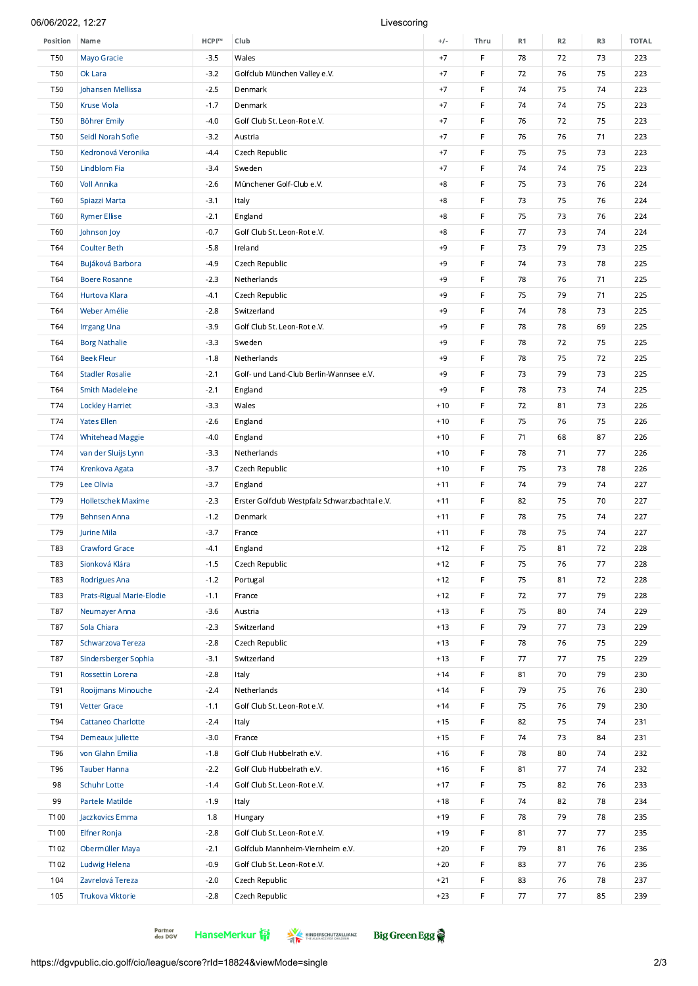# 06/06/2022, 12:27 Livescoring

| Position   | Name                      | HCPI™  | Club                                          | $+/-$ | Thru        | R1 | R <sub>2</sub> | R3 | <b>TOTAL</b> |
|------------|---------------------------|--------|-----------------------------------------------|-------|-------------|----|----------------|----|--------------|
| <b>T50</b> | Mayo Gracie               | $-3.5$ | Wales                                         | $+7$  | $\mathsf F$ | 78 | 72             | 73 | 223          |
| <b>T50</b> | Ok Lara                   | $-3.2$ | Golfclub München Valley e.V.                  | $+7$  | F           | 72 | 76             | 75 | 223          |
| <b>T50</b> | Johansen Mellissa         | $-2.5$ | Denmark                                       | $+7$  | $\mathsf F$ | 74 | 75             | 74 | 223          |
| <b>T50</b> | <b>Kruse Viola</b>        | $-1.7$ | Denmark                                       | $+7$  | F           | 74 | 74             | 75 | 223          |
| <b>T50</b> | <b>Böhrer Emily</b>       | $-4.0$ | Golf Club St. Leon-Rot e.V.                   | $+7$  | $\mathsf F$ | 76 | 72             | 75 | 223          |
| <b>T50</b> | Seidl Norah Sofie         | $-3.2$ | Austria                                       | $+7$  | F           | 76 | 76             | 71 | 223          |
| <b>T50</b> | Kedronová Veronika        | $-4.4$ | Czech Republic                                | $+7$  | $\mathsf F$ | 75 | 75             | 73 | 223          |
| <b>T50</b> | Lindblom Fia              | $-3.4$ | Sweden                                        | $+7$  | F           | 74 | 74             | 75 | 223          |
| <b>T60</b> | <b>Voll Annika</b>        | $-2.6$ | Münchener Golf-Club e.V.                      | $+8$  | $\mathsf F$ | 75 | 73             | 76 | 224          |
| <b>T60</b> | Spiazzi Marta             | $-3.1$ | Italy                                         | $+8$  | F           | 73 | 75             | 76 | 224          |
| T60        | <b>Rymer Ellise</b>       | $-2.1$ | England                                       | $+8$  | $\mathsf F$ | 75 | 73             | 76 | 224          |
| T60        | Johnson Joy               | $-0.7$ | Golf Club St. Leon-Rot e.V.                   | $+8$  | F           | 77 | 73             | 74 | 224          |
| T64        | <b>Coulter Beth</b>       | $-5.8$ | Ireland                                       | $+9$  | $\mathsf F$ | 73 | 79             | 73 | 225          |
| T64        | Bujáková Barbora          | $-4.9$ | Czech Republic                                | $+9$  | F           | 74 | 73             | 78 | 225          |
| T64        | <b>Boere Rosanne</b>      | $-2.3$ | Netherlands                                   | $+9$  | $\mathsf F$ | 78 | 76             | 71 | 225          |
| T64        | Hurtova Klara             | $-4.1$ | Czech Republic                                | $+9$  | F           | 75 | 79             | 71 | 225          |
| T64        | Weber Amélie              | $-2.8$ | Switzerland                                   | $+9$  | $\mathsf F$ | 74 | 78             | 73 | 225          |
| T64        |                           | $-3.9$ | Golf Club St. Leon-Rot e.V.                   | $+9$  | F           | 78 | 78             | 69 | 225          |
|            | <b>Irrgang Una</b>        |        |                                               |       | $\mathsf F$ |    |                |    |              |
| T64        | <b>Borg Nathalie</b>      | $-3.3$ | Sweden                                        | $+9$  |             | 78 | 72             | 75 | 225          |
| T64        | <b>Beek Fleur</b>         | $-1.8$ | Netherlands                                   | $+9$  | F           | 78 | 75             | 72 | 225          |
| T64        | <b>Stadler Rosalie</b>    | $-2.1$ | Golf- und Land-Club Berlin-Wannsee e.V.       | $+9$  | $\mathsf F$ | 73 | 79             | 73 | 225          |
| T64        | <b>Smith Madeleine</b>    | $-2.1$ | England                                       | $+9$  | F           | 78 | 73             | 74 | 225          |
| T74        | <b>Lockley Harriet</b>    | $-3.3$ | Wales                                         | $+10$ | $\mathsf F$ | 72 | 81             | 73 | 226          |
| T74        | <b>Yates Ellen</b>        | $-2.6$ | England                                       | $+10$ | F           | 75 | 76             | 75 | 226          |
| T74        | <b>Whitehead Maggie</b>   | $-4.0$ | England                                       | $+10$ | F           | 71 | 68             | 87 | 226          |
| T74        | van der Sluijs Lynn       | $-3.3$ | Netherlands                                   | $+10$ | F           | 78 | 71             | 77 | 226          |
| T74        | Krenkova Agata            | $-3.7$ | Czech Republic                                | $+10$ | $\mathsf F$ | 75 | 73             | 78 | 226          |
| T79        | Lee Olivia                | $-3.7$ | England                                       | $+11$ | F           | 74 | 79             | 74 | 227          |
| T79        | <b>Holletschek Maxime</b> | $-2.3$ | Erster Golfclub Westpfalz Schwarzbachtal e.V. | $+11$ | F           | 82 | 75             | 70 | 227          |
| T79        | Behnsen Anna              | $-1.2$ | Denmark                                       | $+11$ | F           | 78 | 75             | 74 | 227          |
| T79        | Jurine Mila               | $-3.7$ | France                                        | $+11$ | $\mathsf F$ | 78 | 75             | 74 | 227          |
| T83        | <b>Crawford Grace</b>     | $-4.1$ | England                                       | $+12$ | F           | 75 | 81             | 72 | 228          |
| T83        | Sionková Klára            | $-1.5$ | Czech Republic                                | $+12$ | F           | 75 | 76             | 77 | 228          |
| T83        | Rodrigues Ana             | $-1.2$ | Portugal                                      | $+12$ | F           | 75 | 81             | 72 | 228          |
| T83        | Prats-Rigual Marie-Elodie | $-1.1$ | France                                        | $+12$ | F           | 72 | 77             | 79 | 228          |
| T87        | Neumayer Anna             | $-3.6$ | Austria                                       | $+13$ | F           | 75 | 80             | 74 | 229          |
| T87        | Sola Chiara               | $-2.3$ | Switzerland                                   | $+13$ | F           | 79 | 77             | 73 | 229          |
| T87        | Schwarzova Tereza         | $-2.8$ | Czech Republic                                | $+13$ | F           | 78 | 76             | 75 | 229          |
| T87        | Sindersberger Sophia      | $-3.1$ | Switzerland                                   | $+13$ | F           | 77 | 77             | 75 | 229          |
| T91        | Rossettin Lorena          | $-2.8$ | Italy                                         | $+14$ | F           | 81 | 70             | 79 | 230          |
| T91        | Rooijmans Minouche        | $-2.4$ | Netherlands                                   | $+14$ | F           | 79 | 75             | 76 | 230          |
| T91        | <b>Vetter Grace</b>       | $-1.1$ | Golf Club St. Leon-Rot e.V.                   | $+14$ | F           | 75 | 76             | 79 | 230          |
| T94        | Cattaneo Charlotte        | $-2.4$ | Italy                                         | $+15$ | F           | 82 | 75             | 74 | 231          |
| T94        | Demeaux Juliette          | $-3.0$ | France                                        | $+15$ | F           | 74 | 73             | 84 | 231          |
| T96        | von Glahn Emilia          | $-1.8$ | Golf Club Hubbelrath e.V.                     | $+16$ | F           | 78 | 80             | 74 | 232          |
| T96        | <b>Tauber Hanna</b>       | $-2.2$ | Golf Club Hubbelrath e.V.                     | $+16$ | F           | 81 | 77             | 74 | 232          |
| 98         | Schuhr Lotte              | $-1.4$ | Golf Club St. Leon-Rot e.V.                   | $+17$ | F           | 75 | 82             | 76 | 233          |
| 99         | Partele Matilde           | $-1.9$ | Italy                                         | $+18$ | F           | 74 | 82             | 78 | 234          |
| T100       | Jaczkovics Emma           | 1.8    | Hungary                                       | $+19$ | F           | 78 | 79             | 78 | 235          |
| T100       | Elfner Ronja              | $-2.8$ | Golf Club St. Leon-Rot e.V.                   | $+19$ | F           | 81 | 77             | 77 | 235          |
| T102       | Obermüller Maya           | $-2.1$ | Golfclub Mannheim-Viernheim e.V.              | $+20$ | F           | 79 | 81             | 76 | 236          |
| T102       | Ludwig Helena             | $-0.9$ | Golf Club St. Leon-Rot e.V.                   | $+20$ | F           | 83 | 77             | 76 | 236          |
| 104        | Zavrelová Tereza          | $-2.0$ | Czech Republic                                | $+21$ | F           | 83 | 76             | 78 | 237          |
| 105        | Trukova Viktorie          | $-2.8$ | Czech Republic                                | $+23$ | F           | 77 | 77             | 85 | 239          |
|            |                           |        |                                               |       |             |    |                |    |              |

Partner<br>des DGV

HanseMerkur KINDERSCHUTZALLIANZ